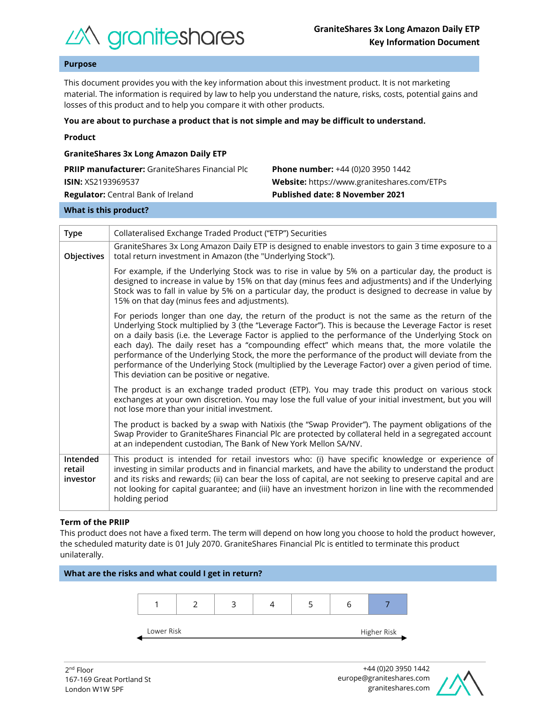

# **Purpose**

This document provides you with the key information about this investment product. It is not marketing material. The information is required by law to help you understand the nature, risks, costs, potential gains and losses of this product and to help you compare it with other products.

#### **You are about to purchase a product that is not simple and may be difficult to understand.**

|  | Product |  |
|--|---------|--|
|  |         |  |

| <b>GraniteShares 3x Long Amazon Daily ETP</b>          |                                             |  |  |  |  |
|--------------------------------------------------------|---------------------------------------------|--|--|--|--|
| <b>PRIIP manufacturer:</b> GraniteShares Financial Plc | <b>Phone number:</b> +44 (0)20 3950 1442    |  |  |  |  |
| <b>ISIN: XS2193969537</b>                              | Website: https://www.graniteshares.com/ETPs |  |  |  |  |
| <b>Regulator:</b> Central Bank of Ireland              | <b>Published date: 8 November 2021</b>      |  |  |  |  |
|                                                        |                                             |  |  |  |  |

#### **What is this product?**

| <b>Type</b>                    | Collateralised Exchange Traded Product ("ETP") Securities                                                                                                                                                                                                                                                                                                                                                                                                                                                                                                                                                                                                                      |  |  |  |
|--------------------------------|--------------------------------------------------------------------------------------------------------------------------------------------------------------------------------------------------------------------------------------------------------------------------------------------------------------------------------------------------------------------------------------------------------------------------------------------------------------------------------------------------------------------------------------------------------------------------------------------------------------------------------------------------------------------------------|--|--|--|
| Objectives                     | GraniteShares 3x Long Amazon Daily ETP is designed to enable investors to gain 3 time exposure to a<br>total return investment in Amazon (the "Underlying Stock").                                                                                                                                                                                                                                                                                                                                                                                                                                                                                                             |  |  |  |
|                                | For example, if the Underlying Stock was to rise in value by 5% on a particular day, the product is<br>designed to increase in value by 15% on that day (minus fees and adjustments) and if the Underlying<br>Stock was to fall in value by 5% on a particular day, the product is designed to decrease in value by<br>15% on that day (minus fees and adjustments).                                                                                                                                                                                                                                                                                                           |  |  |  |
|                                | For periods longer than one day, the return of the product is not the same as the return of the<br>Underlying Stock multiplied by 3 (the "Leverage Factor"). This is because the Leverage Factor is reset<br>on a daily basis (i.e. the Leverage Factor is applied to the performance of the Underlying Stock on<br>each day). The daily reset has a "compounding effect" which means that, the more volatile the<br>performance of the Underlying Stock, the more the performance of the product will deviate from the<br>performance of the Underlying Stock (multiplied by the Leverage Factor) over a given period of time.<br>This deviation can be positive or negative. |  |  |  |
|                                | The product is an exchange traded product (ETP). You may trade this product on various stock<br>exchanges at your own discretion. You may lose the full value of your initial investment, but you will<br>not lose more than your initial investment.                                                                                                                                                                                                                                                                                                                                                                                                                          |  |  |  |
|                                | The product is backed by a swap with Natixis (the "Swap Provider"). The payment obligations of the<br>Swap Provider to GraniteShares Financial Plc are protected by collateral held in a segregated account<br>at an independent custodian, The Bank of New York Mellon SA/NV.                                                                                                                                                                                                                                                                                                                                                                                                 |  |  |  |
| Intended<br>retail<br>investor | This product is intended for retail investors who: (i) have specific knowledge or experience of<br>investing in similar products and in financial markets, and have the ability to understand the product<br>and its risks and rewards; (ii) can bear the loss of capital, are not seeking to preserve capital and are<br>not looking for capital guarantee; and (iii) have an investment horizon in line with the recommended<br>holding period                                                                                                                                                                                                                               |  |  |  |

## **Term of the PRIIP**

This product does not have a fixed term. The term will depend on how long you choose to hold the product however, the scheduled maturity date is 01 July 2070. GraniteShares Financial Plc is entitled to terminate this product unilaterally.



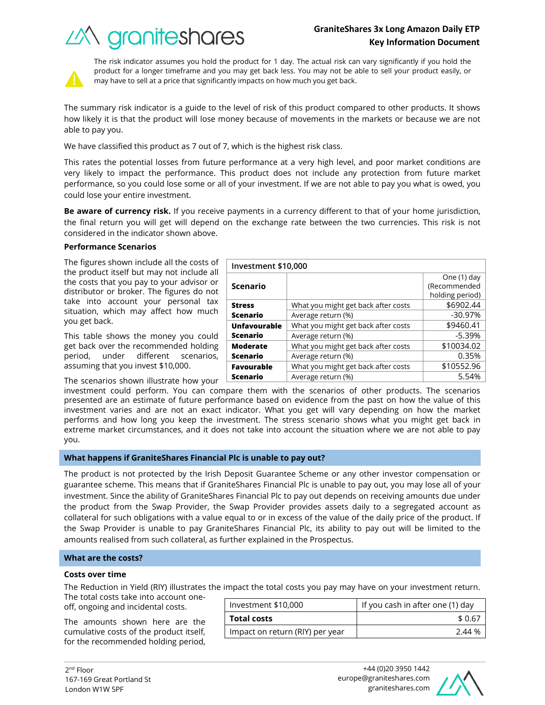# **GraniteShares 3x Long Amazon Daily ETP Key Information Document**

What you might get back after costs  $\sim$  \$6902.44 Average return (%) and the set of the set of the set of the set of the set of the set of the set of the set of the set of the set of the set of the set of the set of the set of the set of the set of the set of the set of t

What you might get back after costs  $\sim$  \$9460.41 Average return  $(\%)$   $\qquad \qquad$   $\qquad$  -5.39%

What you might get back after costs  $\vert$  \$10034.02 Average return (%) and the control of the control of  $0.35\%$ 





The risk indicator assumes you hold the product for 1 day. The actual risk can vary significantly if you hold the product for a longer timeframe and you may get back less. You may not be able to sell your product easily, or may have to sell at a price that significantly impacts on how much you get back.

The summary risk indicator is a guide to the level of risk of this product compared to other products. It shows how likely it is that the product will lose money because of movements in the markets or because we are not able to pay you.

We have classified this product as 7 out of 7, which is the highest risk class.

This rates the potential losses from future performance at a very high level, and poor market conditions are very likely to impact the performance. This product does not include any protection from future market performance, so you could lose some or all of your investment. If we are not able to pay you what is owed, you could lose your entire investment.

**Be aware of currency risk.** If you receive payments in a currency different to that of your home jurisdiction, the final return you will get will depend on the exchange rate between the two currencies. This risk is not considered in the indicator shown above.

**Investment \$10,000**

**Scenario**

**Unfavourable Scenario**

**Moderate Scenario**

**Stress Scenario**

# **Performance Scenarios**

The figures shown include all the costs of the product itself but may not include all the costs that you pay to your advisor or distributor or broker. The figures do not take into account your personal tax situation, which may affect how much you get back.

This table shows the money you could get back over the recommended holding period, under different scenarios, assuming that you invest \$10,000.

The scenarios shown illustrate how your

investment could perform. You can compare them with the scenarios of other products. The scenarios presented are an estimate of future performance based on evidence from the past on how the value of this investment varies and are not an exact indicator. What you get will vary depending on how the market performs and how long you keep the investment. The stress scenario shows what you might get back in extreme market circumstances, and it does not take into account the situation where we are not able to pay you. **Favourable Scenario** What you might get back after costs  $\vert$  \$10552.96 Average return (%) and the set of the set of the set of the set of the set of the set of the set of the set of the set of the set of the set of the set of the set of the set of the set of the set of the set of the set of t

## **What happens if GraniteShares Financial Plc is unable to pay out?**

The product is not protected by the Irish Deposit Guarantee Scheme or any other investor compensation or guarantee scheme. This means that if GraniteShares Financial Plc is unable to pay out, you may lose all of your investment. Since the ability of GraniteShares Financial Plc to pay out depends on receiving amounts due under the product from the Swap Provider, the Swap Provider provides assets daily to a segregated account as collateral for such obligations with a value equal to or in excess of the value of the daily price of the product. If the Swap Provider is unable to pay GraniteShares Financial Plc, its ability to pay out will be limited to the amounts realised from such collateral, as further explained in the Prospectus.

## **What are the costs?**

#### **Costs over time**

The Reduction in Yield (RIY) illustrates the impact the total costs you pay may have on your investment return.

The total costs take into account oneoff, ongoing and incidental costs.

The amounts shown here are the cumulative costs of the product itself, for the recommended holding period,

| Investment \$10,000             | If you cash in after one (1) day |  |
|---------------------------------|----------------------------------|--|
| <b>Total costs</b>              | \$0.67                           |  |
| Impact on return (RIY) per year | 2.44 %                           |  |



One (1) day (Recommended holding period)